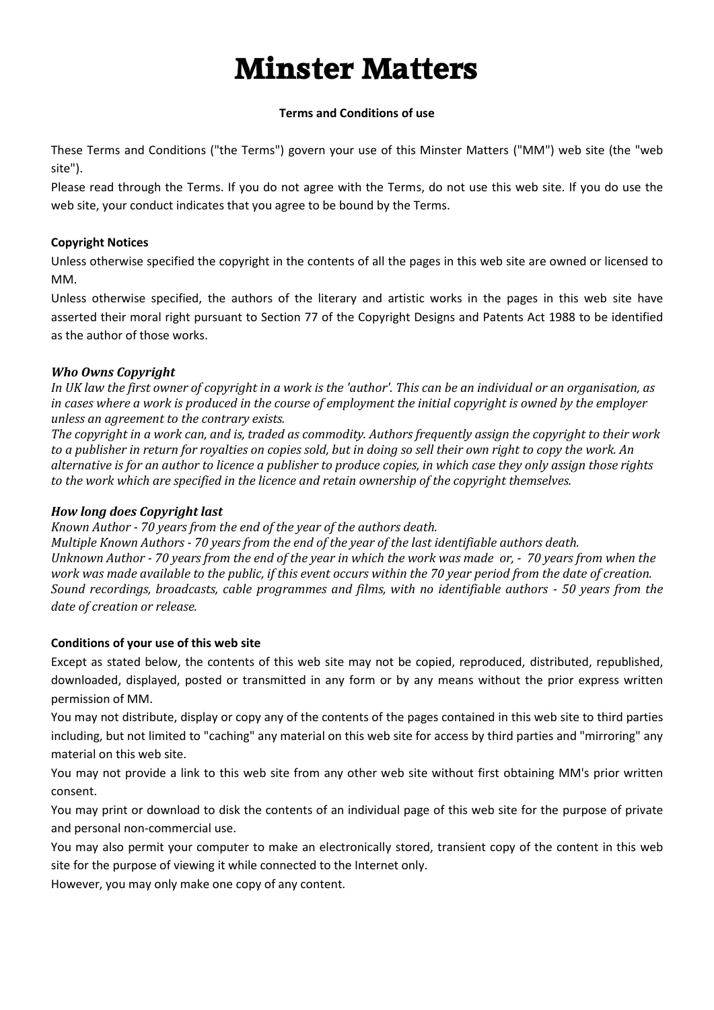# **Minster Matters**

## **Terms and Conditions of use**

These Terms and Conditions ("the Terms") govern your use of this Minster Matters ("MM") web site (the "web site").

Please read through the Terms. If you do not agree with the Terms, do not use this web site. If you do use the web site, your conduct indicates that you agree to be bound by the Terms.

# **Copyright Notices**

Unless otherwise specified the copyright in the contents of all the pages in this web site are owned or licensed to MM.

Unless otherwise specified, the authors of the literary and artistic works in the pages in this web site have asserted their moral right pursuant to Section 77 of the Copyright Designs and Patents Act 1988 to be identified as the author of those works.

# *Who Owns Copyright*

*In UK law the first owner of copyright in a work is the 'author'. This can be an individual or an organisation, as in cases where a work is produced in the course of employment the initial copyright is owned by the employer unless an agreement to the contrary exists.*

*The copyright in a work can, and is, traded as commodity. Authors frequently assign the copyright to their work to a publisher in return for royalties on copies sold, but in doing so sell their own right to copy the work. An alternative is for an author to licence a publisher to produce copies, in which case they only assign those rights to the work which are specified in the licence and retain ownership of the copyright themselves.* 

# *How long does Copyright last*

*Known Author - 70 years from the end of the year of the authors death.* 

*Multiple Known Authors - 70 years from the end of the year of the last identifiable authors death. Unknown Author - 70 years from the end of the year in which the work was made or, - 70 years from when the work was made available to the public, if this event occurs within the 70 year period from the date of creation. Sound recordings, broadcasts, cable programmes and films, with no identifiable authors - 50 years from the date of creation or release.*

# **Conditions of your use of this web site**

Except as stated below, the contents of this web site may not be copied, reproduced, distributed, republished, downloaded, displayed, posted or transmitted in any form or by any means without the prior express written permission of MM.

You may not distribute, display or copy any of the contents of the pages contained in this web site to third parties including, but not limited to "caching" any material on this web site for access by third parties and "mirroring" any material on this web site.

You may not provide a link to this web site from any other web site without first obtaining MM's prior written consent.

You may print or download to disk the contents of an individual page of this web site for the purpose of private and personal non-commercial use.

You may also permit your computer to make an electronically stored, transient copy of the content in this web site for the purpose of viewing it while connected to the Internet only.

However, you may only make one copy of any content.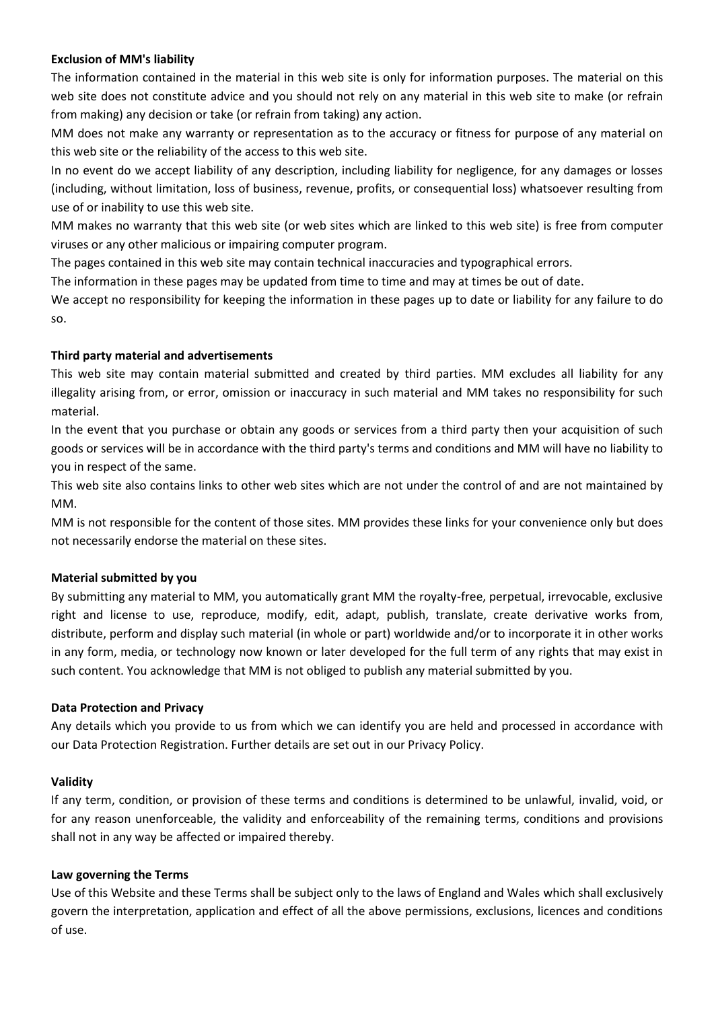## **Exclusion of MM's liability**

The information contained in the material in this web site is only for information purposes. The material on this web site does not constitute advice and you should not rely on any material in this web site to make (or refrain from making) any decision or take (or refrain from taking) any action.

MM does not make any warranty or representation as to the accuracy or fitness for purpose of any material on this web site or the reliability of the access to this web site.

In no event do we accept liability of any description, including liability for negligence, for any damages or losses (including, without limitation, loss of business, revenue, profits, or consequential loss) whatsoever resulting from use of or inability to use this web site.

MM makes no warranty that this web site (or web sites which are linked to this web site) is free from computer viruses or any other malicious or impairing computer program.

The pages contained in this web site may contain technical inaccuracies and typographical errors.

The information in these pages may be updated from time to time and may at times be out of date.

We accept no responsibility for keeping the information in these pages up to date or liability for any failure to do so.

### **Third party material and advertisements**

This web site may contain material submitted and created by third parties. MM excludes all liability for any illegality arising from, or error, omission or inaccuracy in such material and MM takes no responsibility for such material.

In the event that you purchase or obtain any goods or services from a third party then your acquisition of such goods or services will be in accordance with the third party's terms and conditions and MM will have no liability to you in respect of the same.

This web site also contains links to other web sites which are not under the control of and are not maintained by MM.

MM is not responsible for the content of those sites. MM provides these links for your convenience only but does not necessarily endorse the material on these sites.

## **Material submitted by you**

By submitting any material to MM, you automatically grant MM the royalty-free, perpetual, irrevocable, exclusive right and license to use, reproduce, modify, edit, adapt, publish, translate, create derivative works from, distribute, perform and display such material (in whole or part) worldwide and/or to incorporate it in other works in any form, media, or technology now known or later developed for the full term of any rights that may exist in such content. You acknowledge that MM is not obliged to publish any material submitted by you.

#### **Data Protection and Privacy**

Any details which you provide to us from which we can identify you are held and processed in accordance with our Data Protection Registration. Further details are set out in our Privacy Policy.

#### **Validity**

If any term, condition, or provision of these terms and conditions is determined to be unlawful, invalid, void, or for any reason unenforceable, the validity and enforceability of the remaining terms, conditions and provisions shall not in any way be affected or impaired thereby.

#### **Law governing the Terms**

Use of this Website and these Terms shall be subject only to the laws of England and Wales which shall exclusively govern the interpretation, application and effect of all the above permissions, exclusions, licences and conditions of use.